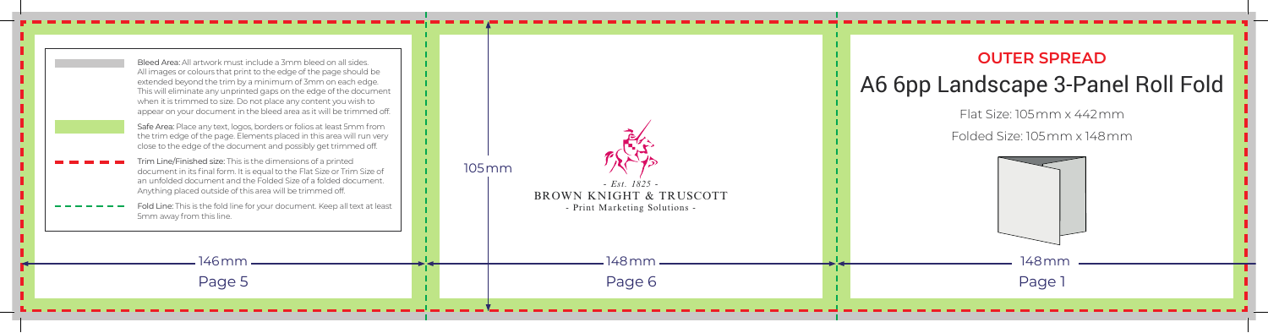| Bleed Area: All artwork must include a 3mm bleed on all sides.<br>All images or colours that print to the edge of the page should be<br>extended beyond the trim by a minimum of 3mm on each edge.<br>This will eliminate any unprinted gaps on the edge of the document<br>when it is trimmed to size. Do not place any content you wish to<br>appear on your document in the bleed area as it will be trimmed off.<br>Safe Area: Place any text, logos, borders or folios at least 5mm from<br>the trim edge of the page. Elements placed in this area will run very<br>close to the edge of the document and possibly get trimmed off.<br>Trim Line/Finished size: This is the dimensions of a printed<br>document in its final form. It is equal to the Flat Size or Trim Size of<br>an unfolded document and the Folded Size of a folded document.<br>Anything placed outside of this area will be trimmed off.<br>Fold Line: This is the fold line for your document. Keep all text at least<br>5mm away from this line. | $105$ mm<br>$- Est. 1825 -$<br>BROWN KNIGHT & TRUSCOTT<br>- Print Marketing Solutions - | <b>OUTER SPR</b><br>A6 6pp Landscape 3-<br>Flat Size: 105mm ><br>Folded Size: 105mm |
|--------------------------------------------------------------------------------------------------------------------------------------------------------------------------------------------------------------------------------------------------------------------------------------------------------------------------------------------------------------------------------------------------------------------------------------------------------------------------------------------------------------------------------------------------------------------------------------------------------------------------------------------------------------------------------------------------------------------------------------------------------------------------------------------------------------------------------------------------------------------------------------------------------------------------------------------------------------------------------------------------------------------------------|-----------------------------------------------------------------------------------------|-------------------------------------------------------------------------------------|
| 146 mm<br>Page 5                                                                                                                                                                                                                                                                                                                                                                                                                                                                                                                                                                                                                                                                                                                                                                                                                                                                                                                                                                                                               | 148 mm -<br>Page 6                                                                      | 148 mm<br>Page 1                                                                    |
|                                                                                                                                                                                                                                                                                                                                                                                                                                                                                                                                                                                                                                                                                                                                                                                                                                                                                                                                                                                                                                |                                                                                         |                                                                                     |

## **OUTER SPREAD** A6 6pp Landscape 3-Panel Roll Fold

Flat Size: 105mm x 442mm

Folded Size: 105mm x 148mm